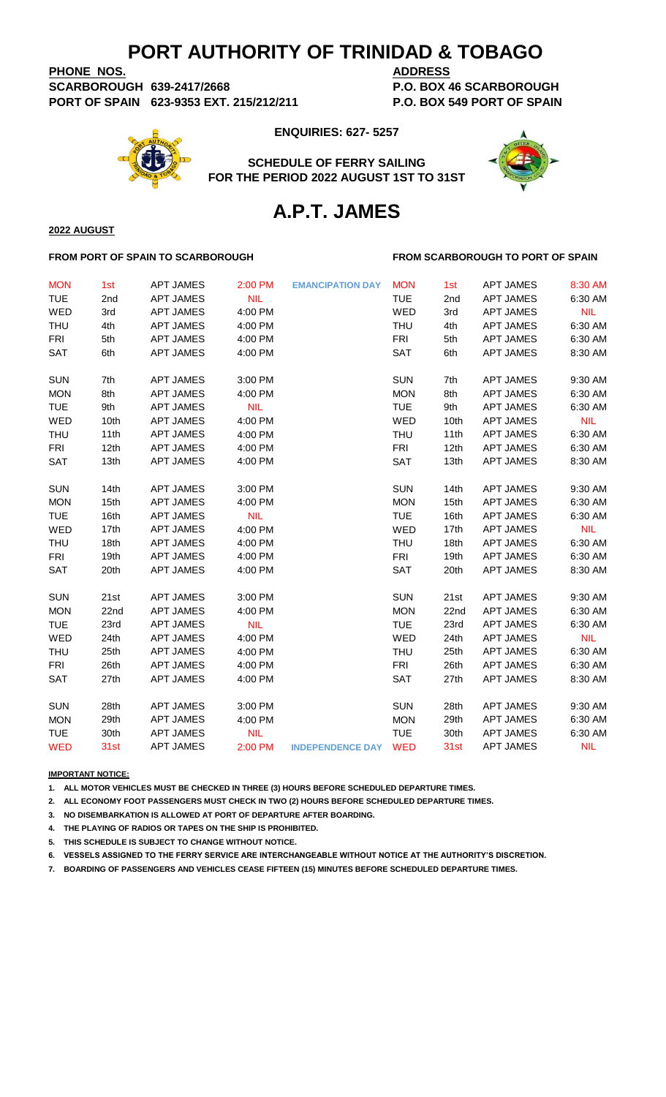**PHONE NOS. ADDRESS SCARBOROUGH 639-2417/2668 P.O. BOX 46 SCARBOROUGH PORT OF SPAIN 623-9353 EXT. 215/212/211 P.O. BOX 549 PORT OF SPAIN**

**ENQUIRIES: 627- 5257**

**SCHEDULE OF FERRY SAILING FOR THE PERIOD 2022 AUGUST 1ST TO 31ST**



# **A.P.T. JAMES**

#### **FROM PORT OF SPAIN TO SCARBOROUGH FROM SCARBOROUGH TO PORT OF SPAIN**

**2022 AUGUST**

| <b>MON</b> | 1st  | <b>APT JAMES</b> | 2:00 PM    | <b>EMANCIPATION DAY</b> | <b>MON</b> | 1st              | <b>APT JAMES</b> | 8:30 AM    |
|------------|------|------------------|------------|-------------------------|------------|------------------|------------------|------------|
| <b>TUE</b> | 2nd  | <b>APT JAMES</b> | <b>NIL</b> |                         | <b>TUE</b> | 2nd              | <b>APT JAMES</b> | 6:30 AM    |
| WED        | 3rd  | <b>APT JAMES</b> | 4:00 PM    |                         | WED        | 3rd              | <b>APT JAMES</b> | <b>NIL</b> |
| <b>THU</b> | 4th  | <b>APT JAMES</b> | 4:00 PM    |                         | <b>THU</b> | 4th              | <b>APT JAMES</b> | 6:30 AM    |
| <b>FRI</b> | 5th  | <b>APT JAMES</b> | 4:00 PM    |                         | <b>FRI</b> | 5th              | <b>APT JAMES</b> | 6:30 AM    |
| <b>SAT</b> | 6th  | <b>APT JAMES</b> | 4:00 PM    |                         | SAT        | 6th              | <b>APT JAMES</b> | 8:30 AM    |
|            |      |                  |            |                         |            |                  |                  |            |
| <b>SUN</b> | 7th  | <b>APT JAMES</b> | 3:00 PM    |                         | <b>SUN</b> | 7th              | <b>APT JAMES</b> | 9:30 AM    |
| <b>MON</b> | 8th  | <b>APT JAMES</b> | 4:00 PM    |                         | <b>MON</b> | 8th              | <b>APT JAMES</b> | 6:30 AM    |
| <b>TUE</b> | 9th  | <b>APT JAMES</b> | <b>NIL</b> |                         | <b>TUE</b> | 9th              | <b>APT JAMES</b> | 6:30 AM    |
| WED        | 10th | <b>APT JAMES</b> | 4:00 PM    |                         | WED        | 10th             | <b>APT JAMES</b> | <b>NIL</b> |
| <b>THU</b> | 11th | <b>APT JAMES</b> | 4:00 PM    |                         | <b>THU</b> | 11th             | <b>APT JAMES</b> | 6:30 AM    |
| <b>FRI</b> | 12th | <b>APT JAMES</b> | 4:00 PM    |                         | <b>FRI</b> | 12th             | <b>APT JAMES</b> | 6:30 AM    |
| SAT        | 13th | <b>APT JAMES</b> | 4:00 PM    |                         | SAT        | 13th             | <b>APT JAMES</b> | 8:30 AM    |
|            |      |                  |            |                         |            |                  |                  |            |
| <b>SUN</b> | 14th | <b>APT JAMES</b> | 3:00 PM    |                         | <b>SUN</b> | 14th             | <b>APT JAMES</b> | 9:30 AM    |
| <b>MON</b> | 15th | <b>APT JAMES</b> | 4:00 PM    |                         | <b>MON</b> | 15 <sub>th</sub> | <b>APT JAMES</b> | 6:30 AM    |
| <b>TUE</b> | 16th | <b>APT JAMES</b> | <b>NIL</b> |                         | <b>TUE</b> | 16th             | <b>APT JAMES</b> | 6:30 AM    |
| WED        | 17th | <b>APT JAMES</b> | 4:00 PM    |                         | WED        | 17th             | <b>APT JAMES</b> | <b>NIL</b> |
| <b>THU</b> | 18th | <b>APT JAMES</b> | 4:00 PM    |                         | <b>THU</b> | 18th             | <b>APT JAMES</b> | 6:30 AM    |
| <b>FRI</b> | 19th | <b>APT JAMES</b> | 4:00 PM    |                         | <b>FRI</b> | 19 <sub>th</sub> | <b>APT JAMES</b> | 6:30 AM    |
| <b>SAT</b> | 20th | <b>APT JAMES</b> | 4:00 PM    |                         | SAT        | 20th             | <b>APT JAMES</b> | 8:30 AM    |
|            |      |                  |            |                         |            |                  |                  |            |
| <b>SUN</b> | 21st | <b>APT JAMES</b> | 3:00 PM    |                         | <b>SUN</b> | 21st             | <b>APT JAMES</b> | 9:30 AM    |
| <b>MON</b> | 22nd | <b>APT JAMES</b> | 4:00 PM    |                         | <b>MON</b> | 22nd             | <b>APT JAMES</b> | 6:30 AM    |
| <b>TUE</b> | 23rd | <b>APT JAMES</b> | <b>NIL</b> |                         | <b>TUE</b> | 23rd             | <b>APT JAMES</b> | 6:30 AM    |
| WED        | 24th | <b>APT JAMES</b> | 4:00 PM    |                         | WED        | 24th             | <b>APT JAMES</b> | <b>NIL</b> |
| <b>THU</b> | 25th | <b>APT JAMES</b> | 4:00 PM    |                         | <b>THU</b> | 25th             | <b>APT JAMES</b> | 6:30 AM    |
| <b>FRI</b> | 26th | <b>APT JAMES</b> | 4:00 PM    |                         | <b>FRI</b> | 26th             | <b>APT JAMES</b> | 6:30 AM    |
| <b>SAT</b> | 27th | <b>APT JAMES</b> | 4:00 PM    |                         | <b>SAT</b> | 27th             | <b>APT JAMES</b> | 8:30 AM    |
|            |      |                  |            |                         |            |                  |                  |            |
| <b>SUN</b> | 28th | <b>APT JAMES</b> | 3:00 PM    |                         | <b>SUN</b> | 28th             | <b>APT JAMES</b> | 9:30 AM    |
| <b>MON</b> | 29th | <b>APT JAMES</b> | 4:00 PM    |                         | <b>MON</b> | 29th             | <b>APT JAMES</b> | 6:30 AM    |
| <b>TUE</b> | 30th | <b>APT JAMES</b> | <b>NIL</b> |                         | <b>TUE</b> | 30th             | <b>APT JAMES</b> | 6:30 AM    |
| <b>WED</b> | 31st | <b>APT JAMES</b> | 2:00 PM    | <b>INDEPENDENCE DAY</b> | <b>WED</b> | 31st             | <b>APT JAMES</b> | NIL        |
|            |      |                  |            |                         |            |                  |                  |            |

**IMPORTANT NOTICE:**

**1. ALL MOTOR VEHICLES MUST BE CHECKED IN THREE (3) HOURS BEFORE SCHEDULED DEPARTURE TIMES.** 

**2. ALL ECONOMY FOOT PASSENGERS MUST CHECK IN TWO (2) HOURS BEFORE SCHEDULED DEPARTURE TIMES.**

**3. NO DISEMBARKATION IS ALLOWED AT PORT OF DEPARTURE AFTER BOARDING.**

**4. THE PLAYING OF RADIOS OR TAPES ON THE SHIP IS PROHIBITED.**

**5. THIS SCHEDULE IS SUBJECT TO CHANGE WITHOUT NOTICE.**

**6. VESSELS ASSIGNED TO THE FERRY SERVICE ARE INTERCHANGEABLE WITHOUT NOTICE AT THE AUTHORITY'S DISCRETION.**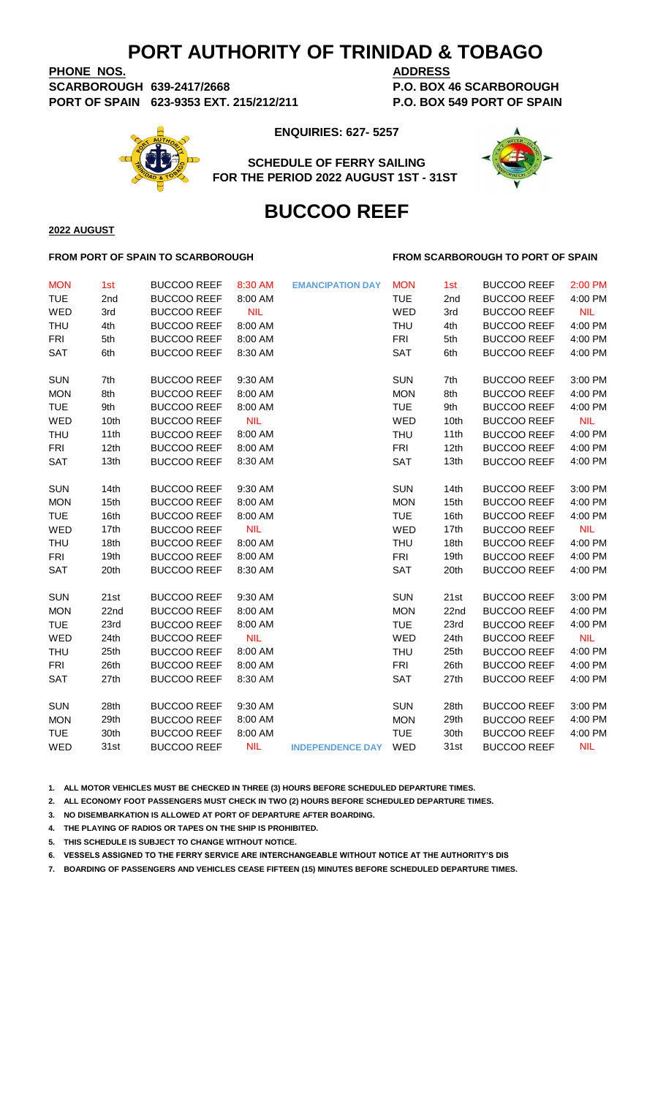**PHONE NOS. ADDRESS SCARBOROUGH 639-2417/2668 P.O. BOX 46 SCARBOROUGH PORT OF SPAIN 623-9353 EXT. 215/212/211 P.O. BOX 549 PORT OF SPAIN**

**ENQUIRIES: 627- 5257**

**SCHEDULE OF FERRY SAILING FOR THE PERIOD 2022 AUGUST 1ST - 31ST** 



# **BUCCOO REEF**

**2022 AUGUST**

#### **FROM PORT OF SPAIN TO SCARBOROUGH FROM SCARBOROUGH TO PORT OF SPAIN**

| <b>MON</b><br><b>TUE</b><br>WED<br><b>THU</b><br><b>FRI</b><br>SAT | 1st<br>2nd<br>3rd<br>4th<br>5th<br>6th | <b>BUCCOO REEF</b><br><b>BUCCOO REEF</b><br><b>BUCCOO REEF</b><br><b>BUCCOO REEF</b><br><b>BUCCOO REEF</b><br><b>BUCCOO REEF</b> | 8:30 AM<br>8:00 AM<br><b>NIL</b><br>8:00 AM<br>8:00 AM<br>8:30 AM | <b>EMANCIPATION DAY</b> | <b>MON</b><br><b>TUE</b><br>WED<br><b>THU</b><br><b>FRI</b><br><b>SAT</b> | 1st<br>2nd<br>3rd<br>4th<br>5th<br>6th | <b>BUCCOO REEF</b><br><b>BUCCOO REEF</b><br><b>BUCCOO REEF</b><br><b>BUCCOO REEF</b><br><b>BUCCOO REEF</b><br><b>BUCCOO REEF</b> | 2:00 PM<br>4:00 PM<br><b>NIL</b><br>4:00 PM<br>4:00 PM<br>4:00 PM |
|--------------------------------------------------------------------|----------------------------------------|----------------------------------------------------------------------------------------------------------------------------------|-------------------------------------------------------------------|-------------------------|---------------------------------------------------------------------------|----------------------------------------|----------------------------------------------------------------------------------------------------------------------------------|-------------------------------------------------------------------|
| <b>SUN</b>                                                         | 7th                                    | <b>BUCCOO REEF</b>                                                                                                               | 9:30 AM                                                           |                         | <b>SUN</b>                                                                | 7th                                    | <b>BUCCOO REEF</b>                                                                                                               | 3:00 PM                                                           |
| <b>MON</b>                                                         | 8th                                    | <b>BUCCOO REEF</b>                                                                                                               | 8:00 AM                                                           |                         | <b>MON</b>                                                                | 8th                                    | <b>BUCCOO REEF</b>                                                                                                               | 4:00 PM                                                           |
| <b>TUE</b>                                                         | 9th                                    | <b>BUCCOO REEF</b>                                                                                                               | 8:00 AM                                                           |                         | <b>TUE</b>                                                                | 9th                                    | <b>BUCCOO REEF</b>                                                                                                               | 4:00 PM                                                           |
| WED                                                                | 10th                                   | <b>BUCCOO REEF</b>                                                                                                               | <b>NIL</b>                                                        |                         | WED                                                                       | 10th                                   | <b>BUCCOO REEF</b>                                                                                                               | <b>NIL</b>                                                        |
| <b>THU</b>                                                         | 11th                                   | <b>BUCCOO REEF</b>                                                                                                               | 8:00 AM                                                           |                         | THU                                                                       | 11th                                   | <b>BUCCOO REEF</b>                                                                                                               | 4:00 PM                                                           |
| <b>FRI</b>                                                         | 12th                                   | <b>BUCCOO REEF</b>                                                                                                               | 8:00 AM                                                           |                         | <b>FRI</b>                                                                | 12th                                   | <b>BUCCOO REEF</b>                                                                                                               | 4:00 PM                                                           |
| SAT                                                                | 13th                                   | <b>BUCCOO REEF</b>                                                                                                               | 8:30 AM                                                           |                         | SAT                                                                       | 13th                                   | <b>BUCCOO REEF</b>                                                                                                               | 4:00 PM                                                           |
| <b>SUN</b>                                                         | 14th                                   | <b>BUCCOO REEF</b>                                                                                                               | 9:30 AM                                                           |                         | <b>SUN</b>                                                                | 14th                                   | <b>BUCCOO REEF</b>                                                                                                               | 3:00 PM                                                           |
| <b>MON</b>                                                         | 15th                                   | <b>BUCCOO REEF</b>                                                                                                               | 8:00 AM                                                           |                         | <b>MON</b>                                                                | 15th                                   | <b>BUCCOO REEF</b>                                                                                                               | 4:00 PM                                                           |
| <b>TUE</b>                                                         | 16th                                   | <b>BUCCOO REEF</b>                                                                                                               | 8:00 AM                                                           |                         | <b>TUE</b>                                                                | 16th                                   | <b>BUCCOO REEF</b>                                                                                                               | 4:00 PM                                                           |
| WED                                                                | 17th                                   | <b>BUCCOO REEF</b>                                                                                                               | <b>NIL</b>                                                        |                         | WED                                                                       | 17th                                   | <b>BUCCOO REEF</b>                                                                                                               | <b>NIL</b>                                                        |
| <b>THU</b>                                                         | 18th                                   | <b>BUCCOO REEF</b>                                                                                                               | 8:00 AM                                                           |                         | THU                                                                       | 18th                                   | <b>BUCCOO REEF</b>                                                                                                               | 4:00 PM                                                           |
| <b>FRI</b>                                                         | 19th                                   | <b>BUCCOO REEF</b>                                                                                                               | 8:00 AM                                                           |                         | <b>FRI</b>                                                                | 19th                                   | <b>BUCCOO REEF</b>                                                                                                               | 4:00 PM                                                           |
| <b>SAT</b>                                                         | 20th                                   | <b>BUCCOO REEF</b>                                                                                                               | 8:30 AM                                                           |                         | <b>SAT</b>                                                                | 20th                                   | <b>BUCCOO REEF</b>                                                                                                               | 4:00 PM                                                           |
| <b>SUN</b>                                                         | 21st                                   | <b>BUCCOO REEF</b>                                                                                                               | 9:30 AM                                                           |                         | <b>SUN</b>                                                                | 21st                                   | <b>BUCCOO REEF</b>                                                                                                               | 3:00 PM                                                           |
| <b>MON</b>                                                         | 22nd                                   | <b>BUCCOO REEF</b>                                                                                                               | 8:00 AM                                                           |                         | <b>MON</b>                                                                | 22nd                                   | <b>BUCCOO REEF</b>                                                                                                               | 4:00 PM                                                           |
| <b>TUE</b>                                                         | 23rd                                   | <b>BUCCOO REEF</b>                                                                                                               | 8:00 AM                                                           |                         | <b>TUE</b>                                                                | 23rd                                   | <b>BUCCOO REEF</b>                                                                                                               | 4:00 PM                                                           |
| WED                                                                | 24th                                   | <b>BUCCOO REEF</b>                                                                                                               | <b>NIL</b>                                                        |                         | WED                                                                       | 24th                                   | <b>BUCCOO REEF</b>                                                                                                               | <b>NIL</b>                                                        |
| <b>THU</b>                                                         | 25th                                   | <b>BUCCOO REEF</b>                                                                                                               | 8:00 AM                                                           |                         | THU                                                                       | 25th                                   | <b>BUCCOO REEF</b>                                                                                                               | 4:00 PM                                                           |
| <b>FRI</b>                                                         | 26th                                   | <b>BUCCOO REEF</b>                                                                                                               | 8:00 AM                                                           |                         | <b>FRI</b>                                                                | 26th                                   | <b>BUCCOO REEF</b>                                                                                                               | 4:00 PM                                                           |
| <b>SAT</b>                                                         | 27th                                   | <b>BUCCOO REEF</b>                                                                                                               | 8:30 AM                                                           |                         | <b>SAT</b>                                                                | 27th                                   | <b>BUCCOO REEF</b>                                                                                                               | 4:00 PM                                                           |
| <b>SUN</b>                                                         | 28th                                   | <b>BUCCOO REEF</b>                                                                                                               | 9:30 AM                                                           |                         | <b>SUN</b>                                                                | 28th                                   | <b>BUCCOO REEF</b>                                                                                                               | 3:00 PM                                                           |
| <b>MON</b>                                                         | 29th                                   | <b>BUCCOO REEF</b>                                                                                                               | 8:00 AM                                                           |                         | <b>MON</b>                                                                | 29th                                   | <b>BUCCOO REEF</b>                                                                                                               | 4:00 PM                                                           |
| <b>TUE</b>                                                         | 30th                                   | <b>BUCCOO REEF</b>                                                                                                               | 8:00 AM                                                           |                         | <b>TUE</b>                                                                | 30th                                   | <b>BUCCOO REEF</b>                                                                                                               | 4:00 PM                                                           |
| WED                                                                | 31st                                   | <b>BUCCOO REEF</b>                                                                                                               | <b>NIL</b>                                                        | <b>INDEPENDENCE DAY</b> | WED                                                                       | 31st                                   | <b>BUCCOO REEF</b>                                                                                                               | <b>NIL</b>                                                        |

**1. ALL MOTOR VEHICLES MUST BE CHECKED IN THREE (3) HOURS BEFORE SCHEDULED DEPARTURE TIMES.** 

**2. ALL ECONOMY FOOT PASSENGERS MUST CHECK IN TWO (2) HOURS BEFORE SCHEDULED DEPARTURE TIMES.**

**3. NO DISEMBARKATION IS ALLOWED AT PORT OF DEPARTURE AFTER BOARDING.**

**4. THE PLAYING OF RADIOS OR TAPES ON THE SHIP IS PROHIBITED.**

**5. THIS SCHEDULE IS SUBJECT TO CHANGE WITHOUT NOTICE.**

**6. VESSELS ASSIGNED TO THE FERRY SERVICE ARE INTERCHANGEABLE WITHOUT NOTICE AT THE AUTHORITY'S DIS**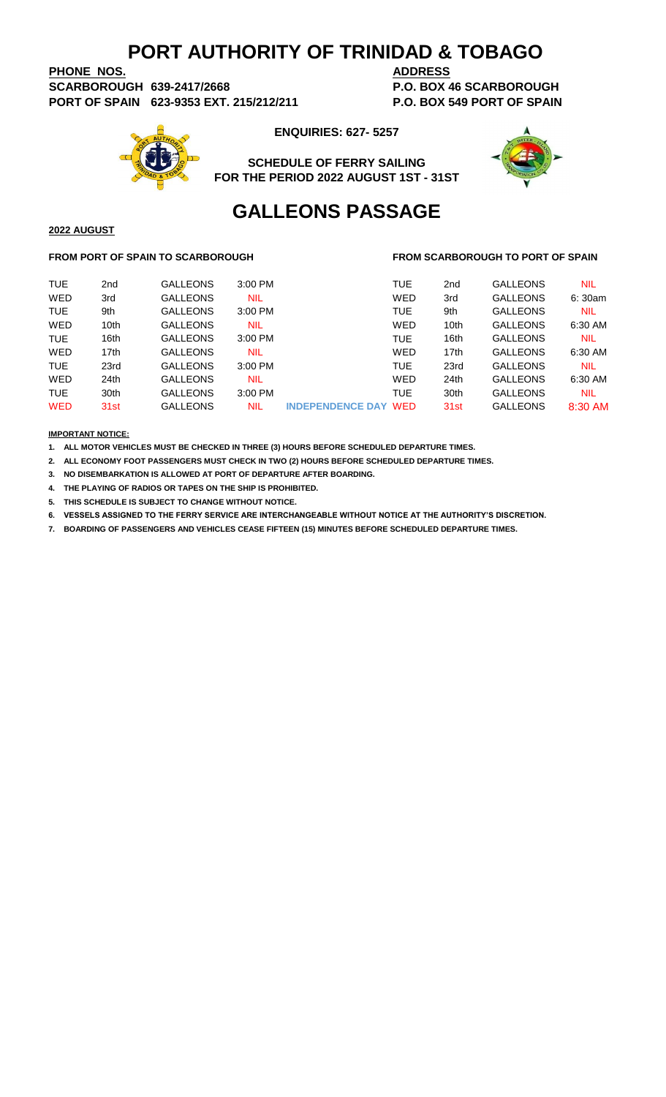**PHONE NOS. ADDRESS SCARBOROUGH 639-2417/2668 P.O. BOX 46 SCARBOROUGH PORT OF SPAIN 623-9353 EXT. 215/212/211 P.O. BOX 549 PORT OF SPAIN**



**ENQUIRIES: 627- 5257**

**SCHEDULE OF FERRY SAILING FOR THE PERIOD 2022 AUGUST 1ST - 31ST**



# **GALLEONS PASSAGE**

#### **FROM PORT OF SPAIN TO SCARBOROUGH FROM SCARBOROUGH TO PORT OF SPAIN**

| <b>TUE</b> | 2 <sub>nd</sub>  | <b>GALLEONS</b> | 3:00 PM    |                             | <b>TUE</b> | 2 <sub>nd</sub>  | <b>GALLEONS</b> | <b>NIL</b> |
|------------|------------------|-----------------|------------|-----------------------------|------------|------------------|-----------------|------------|
| WED        | 3rd              | <b>GALLEONS</b> | NIL        |                             | WED        | 3rd              | <b>GALLEONS</b> | 6:30am     |
| <b>TUE</b> | 9th              | <b>GALLEONS</b> | 3:00 PM    |                             | <b>TUE</b> | 9th              | <b>GALLEONS</b> | <b>NIL</b> |
| WED        | 10 <sub>th</sub> | <b>GALLEONS</b> | NIL        |                             | WED        | 10 <sub>th</sub> | <b>GALLEONS</b> | 6:30 AM    |
| <b>TUE</b> | 16th             | <b>GALLEONS</b> | 3:00 PM    |                             | <b>TUE</b> | 16th             | <b>GALLEONS</b> | <b>NIL</b> |
| WED        | 17th             | <b>GALLEONS</b> | <b>NIL</b> |                             | WED        | 17th             | <b>GALLEONS</b> | 6:30 AM    |
| <b>TUE</b> | 23rd             | <b>GALLEONS</b> | $3:00$ PM  |                             | <b>TUE</b> | 23rd             | <b>GALLEONS</b> | <b>NIL</b> |
| WED        | 24th             | <b>GALLEONS</b> | <b>NIL</b> |                             | WED        | 24 <sub>th</sub> | <b>GALLEONS</b> | 6:30 AM    |
| <b>TUE</b> | 30th             | <b>GALLEONS</b> | $3:00$ PM  |                             | <b>TUE</b> | 30th             | <b>GALLEONS</b> | <b>NIL</b> |
| <b>WED</b> | 31 <sub>st</sub> | <b>GALLEONS</b> | NIL        | <b>INDEPENDENCE DAY WED</b> |            | 31 <sub>st</sub> | <b>GALLEONS</b> | 8:30 AM    |
|            |                  |                 |            |                             |            |                  |                 |            |

#### **IMPORTANT NOTICE:**

**2022 AUGUST**

**1. ALL MOTOR VEHICLES MUST BE CHECKED IN THREE (3) HOURS BEFORE SCHEDULED DEPARTURE TIMES.** 

**2. ALL ECONOMY FOOT PASSENGERS MUST CHECK IN TWO (2) HOURS BEFORE SCHEDULED DEPARTURE TIMES.**

**3. NO DISEMBARKATION IS ALLOWED AT PORT OF DEPARTURE AFTER BOARDING.**

**4. THE PLAYING OF RADIOS OR TAPES ON THE SHIP IS PROHIBITED.**

**5. THIS SCHEDULE IS SUBJECT TO CHANGE WITHOUT NOTICE.**

**6. VESSELS ASSIGNED TO THE FERRY SERVICE ARE INTERCHANGEABLE WITHOUT NOTICE AT THE AUTHORITY'S DISCRETION.**